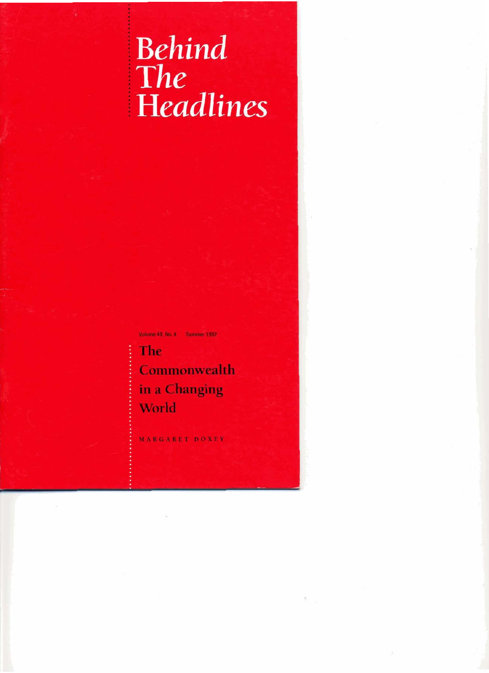# <sup>i</sup>**Behind**  <sup>i</sup>**The**  ! **Headlines**

Volume 49, No. 4 Summer 1992

<sup>i</sup>**The Commonwealth** <sup>i</sup>**in a Changing**  <sup>i</sup>**World** 

: **MARGARET DOXBY**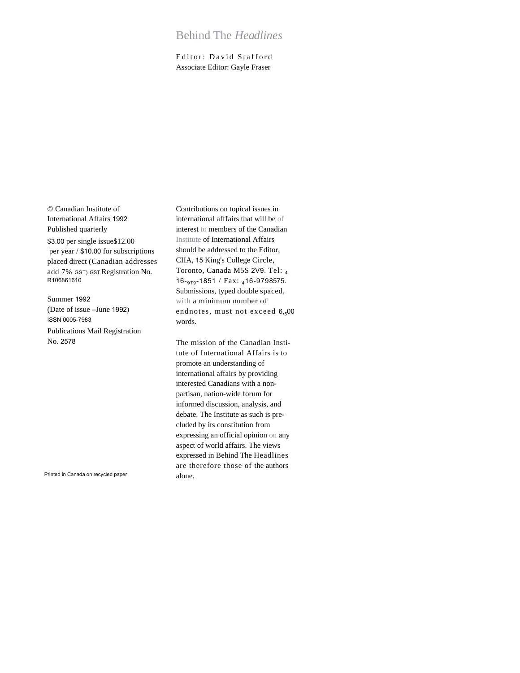# Behind The *Headlines*

Editor: David Stafford Associate Editor: Gayle Fraser

© Canadian Institute of International Affairs 1992 Published quarterly \$3.00 per single issue \$12.00 per year / \$10.00 for subscriptions placed direct (Canadian addresses add 7% GST) GST Registration No. R106861610

Summer 1992 (Date of issue –June 1992) ISSN 0005-7983

Publications Mail Registration No. 2578

Contributions on topical issues in international afffairs that will be of interest to members of the Canadian Institute of International Affairs should be addressed to the Editor, CIIA, 15 King's College Circle, Toronto, Canada M5S 2V9. Tel: <sup>4</sup> 16-979-1851 / Fax: 416-9798575. Submissions, typed double spaced, with a minimum number of endnotes, must not exceed 6,500 words.

The mission of the Canadian Institute of International Affairs is to promote an understanding of international affairs by providing interested Canadians with a nonpartisan, nation-wide forum for informed discussion, analysis, and debate. The Institute as such is precluded by its constitution from expressing an official opinion on any aspect of world affairs. The views expressed in Behind The Headlines are therefore those of the authors alone.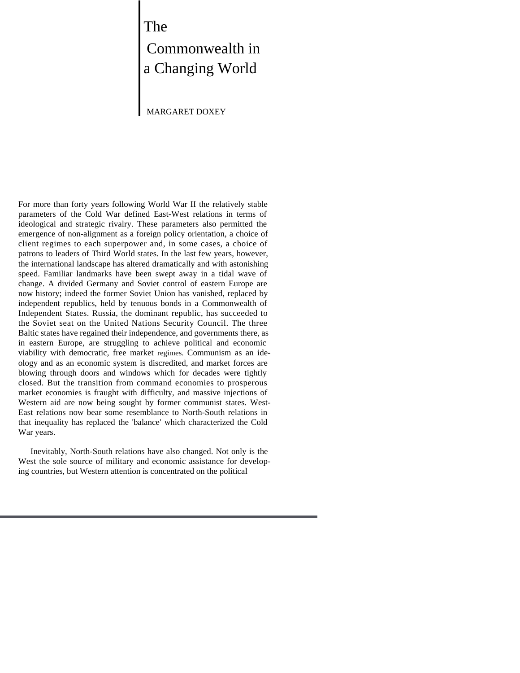# The Commonwealth in a Changing World

#### MARGARET DOXEY

For more than forty years following World War II the relatively stable parameters of the Cold War defined East-West relations in terms of ideological and strategic rivalry. These parameters also permitted the emergence of non-alignment as a foreign policy orientation, a choice of client regimes to each superpower and, in some cases, a choice of patrons to leaders of Third World states. In the last few years, however, the international landscape has altered dramatically and with astonishing speed. Familiar landmarks have been swept away in a tidal wave of change. A divided Germany and Soviet control of eastern Europe are now history; indeed the former Soviet Union has vanished, replaced by independent republics, held by tenuous bonds in a Commonwealth of Independent States. Russia, the dominant republic, has succeeded to the Soviet seat on the United Nations Security Council. The three Baltic states have regained their independence, and governments there, as in eastern Europe, are struggling to achieve political and economic viability with democratic, free market regimes. Communism as an ideology and as an economic system is discredited, and market forces are blowing through doors and windows which for decades were tightly closed. But the transition from command economies to prosperous market economies is fraught with difficulty, and massive injections of Western aid are now being sought by former communist states. West-East relations now bear some resemblance to North-South relations in that inequality has replaced the 'balance' which characterized the Cold War years.

Inevitably, North-South relations have also changed. Not only is the West the sole source of military and economic assistance for developing countries, but Western attention is concentrated on the political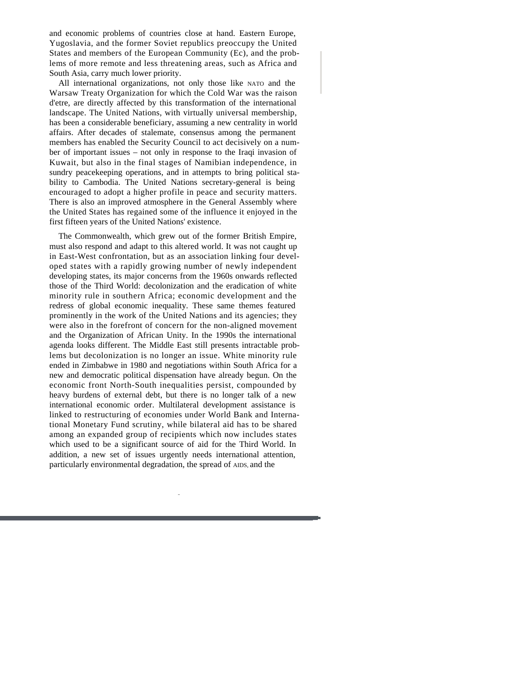and economic problems of countries close at hand. Eastern Europe, Yugoslavia, and the former Soviet republics preoccupy the United States and members of the European Community (Ec), and the problems of more remote and less threatening areas, such as Africa and South Asia, carry much lower priority.

All international organizations, not only those like NATO and the Warsaw Treaty Organization for which the Cold War was the raison d'etre, are directly affected by this transformation of the international landscape. The United Nations, with virtually universal membership, has been a considerable beneficiary, assuming a new centrality in world affairs. After decades of stalemate, consensus among the permanent members has enabled the Security Council to act decisively on a number of important issues – not only in response to the Iraqi invasion of Kuwait, but also in the final stages of Namibian independence, in sundry peacekeeping operations, and in attempts to bring political stability to Cambodia. The United Nations secretary-general is being encouraged to adopt a higher profile in peace and security matters. There is also an improved atmosphere in the General Assembly where the United States has regained some of the influence it enjoyed in the first fifteen years of the United Nations' existence.

The Commonwealth, which grew out of the former British Empire, must also respond and adapt to this altered world. It was not caught up in East-West confrontation, but as an association linking four developed states with a rapidly growing number of newly independent developing states, its major concerns from the 1960s onwards reflected those of the Third World: decolonization and the eradication of white minority rule in southern Africa; economic development and the redress of global economic inequality. These same themes featured prominently in the work of the United Nations and its agencies; they were also in the forefront of concern for the non-aligned movement and the Organization of African Unity. In the 1990s the international agenda looks different. The Middle East still presents intractable problems but decolonization is no longer an issue. White minority rule ended in Zimbabwe in 1980 and negotiations within South Africa for a new and democratic political dispensation have already begun. On the economic front North-South inequalities persist, compounded by heavy burdens of external debt, but there is no longer talk of a new international economic order. Multilateral development assistance is linked to restructuring of economies under World Bank and International Monetary Fund scrutiny, while bilateral aid has to be shared among an expanded group of recipients which now includes states which used to be a significant source of aid for the Third World. In addition, a new set of issues urgently needs international attention, particularly environmental degradation, the spread of AIDS, and the

2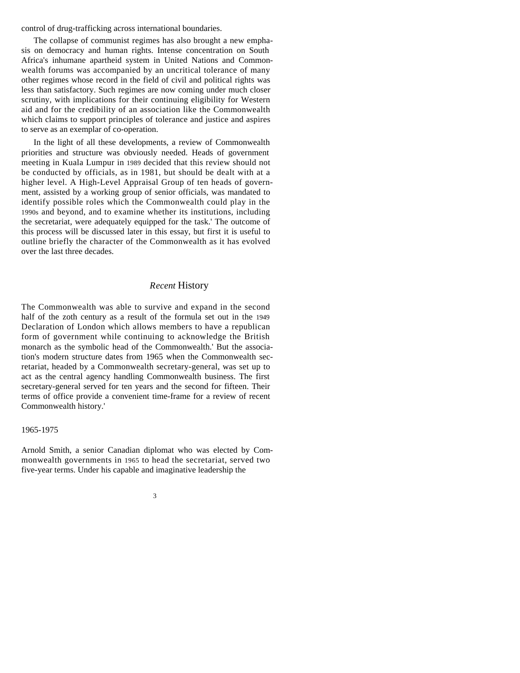control of drug-trafficking across international boundaries.

The collapse of communist regimes has also brought a new emphasis on democracy and human rights. Intense concentration on South Africa's inhumane apartheid system in United Nations and Commonwealth forums was accompanied by an uncritical tolerance of many other regimes whose record in the field of civil and political rights was less than satisfactory. Such regimes are now coming under much closer scrutiny, with implications for their continuing eligibility for Western aid and for the credibility of an association like the Commonwealth which claims to support principles of tolerance and justice and aspires to serve as an exemplar of co-operation.

In the light of all these developments, a review of Commonwealth priorities and structure was obviously needed. Heads of government meeting in Kuala Lumpur in 1989 decided that this review should not be conducted by officials, as in 1981, but should be dealt with at a higher level. A High-Level Appraisal Group of ten heads of government, assisted by a working group of senior officials, was mandated to identify possible roles which the Commonwealth could play in the 1990s and beyond, and to examine whether its institutions, including the secretariat, were adequately equipped for the task.' The outcome of this process will be discussed later in this essay, but first it is useful to outline briefly the character of the Commonwealth as it has evolved over the last three decades.

## *Recent* History

The Commonwealth was able to survive and expand in the second half of the zoth century as a result of the formula set out in the 1949 Declaration of London which allows members to have a republican form of government while continuing to acknowledge the British monarch as the symbolic head of the Commonwealth.' But the association's modern structure dates from 1965 when the Commonwealth secretariat, headed by a Commonwealth secretary-general, was set up to act as the central agency handling Commonwealth business. The first secretary-general served for ten years and the second for fifteen. Their terms of office provide a convenient time-frame for a review of recent Commonwealth history.'

1965-1975

Arnold Smith, a senior Canadian diplomat who was elected by Commonwealth governments in 1965 to head the secretariat, served two five-year terms. Under his capable and imaginative leadership the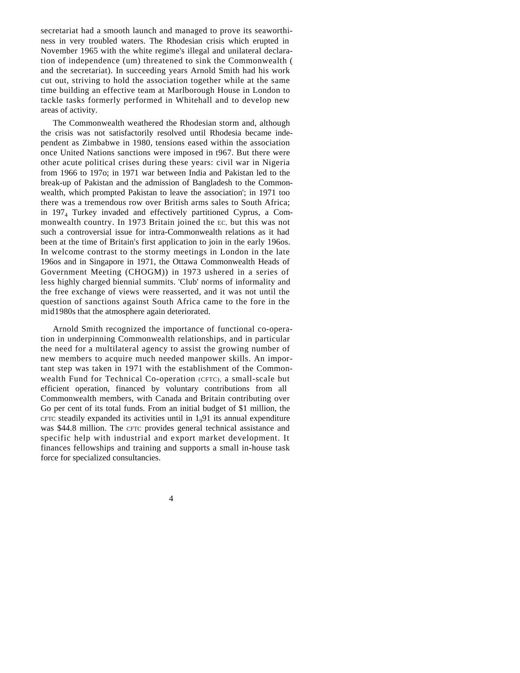secretariat had a smooth launch and managed to prove its seaworthiness in very troubled waters. The Rhodesian crisis which erupted in November 1965 with the white regime's illegal and unilateral declaration of independence (um) threatened to sink the Commonwealth ( and the secretariat). In succeeding years Arnold Smith had his work cut out, striving to hold the association together while at the same time building an effective team at Marlborough House in London to tackle tasks formerly performed in Whitehall and to develop new areas of activity.

The Commonwealth weathered the Rhodesian storm and, although the crisis was not satisfactorily resolved until Rhodesia became independent as Zimbabwe in 1980, tensions eased within the association once United Nations sanctions were imposed in t967. But there were other acute political crises during these years: civil war in Nigeria from 1966 to 197o; in 1971 war between India and Pakistan led to the break-up of Pakistan and the admission of Bangladesh to the Commonwealth, which prompted Pakistan to leave the association'; in 1971 too there was a tremendous row over British arms sales to South Africa; in 197<sup>4</sup> Turkey invaded and effectively partitioned Cyprus, a Commonwealth country. In 1973 Britain joined the EC, but this was not such a controversial issue for intra-Commonwealth relations as it had been at the time of Britain's first application to join in the early 196os. In welcome contrast to the stormy meetings in London in the late 196os and in Singapore in 1971, the Ottawa Commonwealth Heads of Government Meeting (CHOGM)) in 1973 ushered in a series of less highly charged biennial summits. 'Club' norms of informality and the free exchange of views were reasserted, and it was not until the question of sanctions against South Africa came to the fore in the mid1980s that the atmosphere again deteriorated.

Arnold Smith recognized the importance of functional co-operation in underpinning Commonwealth relationships, and in particular the need for a multilateral agency to assist the growing number of new members to acquire much needed manpower skills. An important step was taken in 1971 with the establishment of the Commonwealth Fund for Technical Co-operation (CFTC), a small-scale but efficient operation, financed by voluntary contributions from all Commonwealth members, with Canada and Britain contributing over Go per cent of its total funds. From an initial budget of \$1 million, the CFTC steadily expanded its activities until in  $1<sub>9</sub>91$  its annual expenditure was \$44.8 million. The CFTC provides general technical assistance and specific help with industrial and export market development. It finances fellowships and training and supports a small in-house task force for specialized consultancies.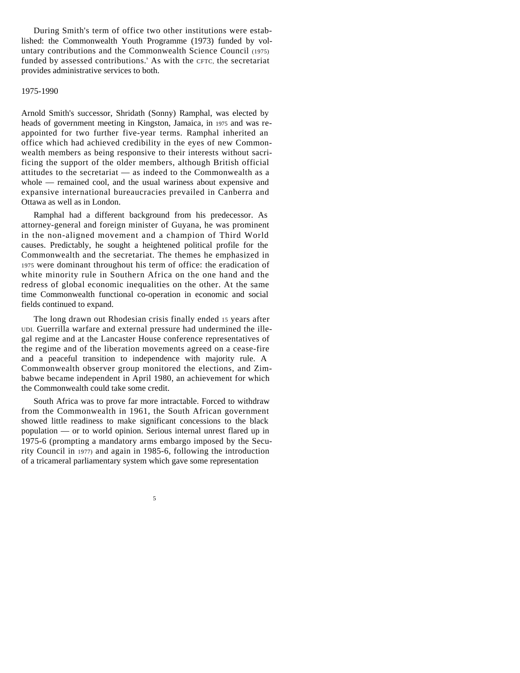During Smith's term of office two other institutions were established: the Commonwealth Youth Programme (1973) funded by voluntary contributions and the Commonwealth Science Council (1975) funded by assessed contributions.' As with the CFTC, the secretariat provides administrative services to both.

1975-1990

Arnold Smith's successor, Shridath (Sonny) Ramphal, was elected by heads of government meeting in Kingston, Jamaica, in <sup>1975</sup> and was reappointed for two further five-year terms. Ramphal inherited an office which had achieved credibility in the eyes of new Commonwealth members as being responsive to their interests without sacrificing the support of the older members, although British official attitudes to the secretariat — as indeed to the Commonwealth as a whole — remained cool, and the usual wariness about expensive and expansive international bureaucracies prevailed in Canberra and Ottawa as well as in London.

Ramphal had a different background from his predecessor. As attorney-general and foreign minister of Guyana, he was prominent in the non-aligned movement and a champion of Third World causes. Predictably, he sought a heightened political profile for the Commonwealth and the secretariat. The themes he emphasized in <sup>1975</sup> were dominant throughout his term of office: the eradication of white minority rule in Southern Africa on the one hand and the redress of global economic inequalities on the other. At the same time Commonwealth functional co-operation in economic and social fields continued to expand.

The long drawn out Rhodesian crisis finally ended <sup>15</sup> years after UDI. Guerrilla warfare and external pressure had undermined the illegal regime and at the Lancaster House conference representatives of the regime and of the liberation movements agreed on a cease-fire and a peaceful transition to independence with majority rule. A Commonwealth observer group monitored the elections, and Zimbabwe became independent in April 1980, an achievement for which the Commonwealth could take some credit.

South Africa was to prove far more intractable. Forced to withdraw from the Commonwealth in 1961, the South African government showed little readiness to make significant concessions to the black population — or to world opinion. Serious internal unrest flared up in 1975-6 (prompting a mandatory arms embargo imposed by the Security Council in 1977) and again in 1985-6, following the introduction of a tricameral parliamentary system which gave some representation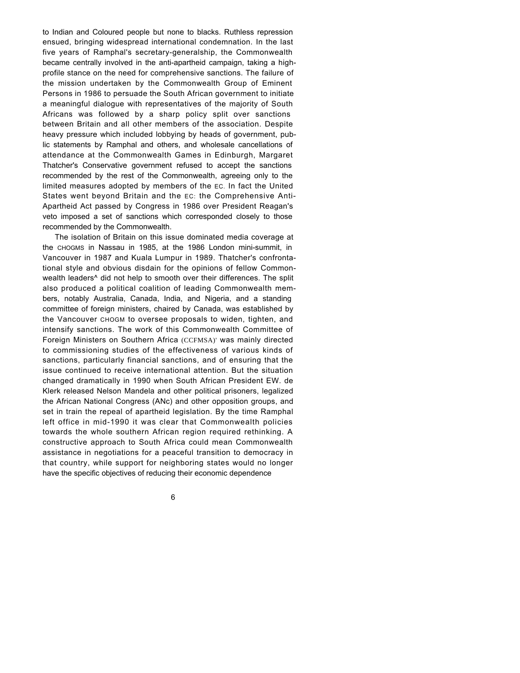to Indian and Coloured people but none to blacks. Ruthless repression ensued, bringing widespread international condemnation. In the last five years of Ramphal's secretary-generalship, the Commonwealth became centrally involved in the anti-apartheid campaign, taking a highprofile stance on the need for comprehensive sanctions. The failure of the mission undertaken by the Commonwealth Group of Eminent Persons in 1986 to persuade the South African government to initiate a meaningful dialogue with representatives of the majority of South Africans was followed by a sharp policy split over sanctions between Britain and all other members of the association. Despite heavy pressure which included lobbying by heads of government, public statements by Ramphal and others, and wholesale cancellations of attendance at the Commonwealth Games in Edinburgh, Margaret Thatcher's Conservative government refused to accept the sanctions recommended by the rest of the Commonwealth, agreeing only to the limited measures adopted by members of the EC. In fact the United States went beyond Britain and the EC: the Comprehensive Anti-Apartheid Act passed by Congress in 1986 over President Reagan's veto imposed a set of sanctions which corresponded closely to those recommended by the Commonwealth.

The isolation of Britain on this issue dominated media coverage at the CHOGMS in Nassau in 1985, at the 1986 London mini-summit, in Vancouver in 1987 and Kuala Lumpur in 1989. Thatcher's confrontational style and obvious disdain for the opinions of fellow Commonwealth leaders^ did not help to smooth over their differences. The split also produced a political coalition of leading Commonwealth members, notably Australia, Canada, India, and Nigeria, and a standing committee of foreign ministers, chaired by Canada, was established by the Vancouver CHOGM to oversee proposals to widen, tighten, and intensify sanctions. The work of this Commonwealth Committee of Foreign Ministers on Southern Africa (CCFMSA)' was mainly directed to commissioning studies of the effectiveness of various kinds of sanctions, particularly financial sanctions, and of ensuring that the issue continued to receive international attention. But the situation changed dramatically in 1990 when South African President EW. de Klerk released Nelson Mandela and other political prisoners, legalized the African National Congress (ANc) and other opposition groups, and set in train the repeal of apartheid legislation. By the time Ramphal left office in mid-1990 it was clear that Commonwealth policies towards the whole southern African region required rethinking. A constructive approach to South Africa could mean Commonwealth assistance in negotiations for a peaceful transition to democracy in that country, while support for neighboring states would no longer have the specific objectives of reducing their economic dependence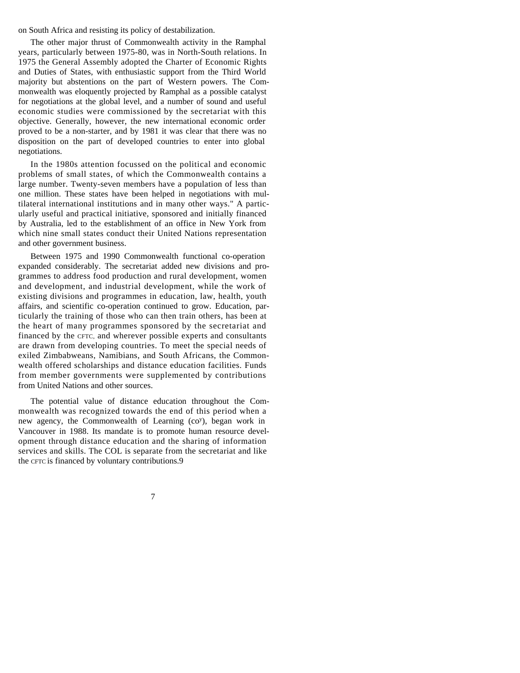on South Africa and resisting its policy of destabilization.

The other major thrust of Commonwealth activity in the Ramphal years, particularly between 1975-80, was in North-South relations. In 1975 the General Assembly adopted the Charter of Economic Rights and Duties of States, with enthusiastic support from the Third World majority but abstentions on the part of Western powers. The Commonwealth was eloquently projected by Ramphal as a possible catalyst for negotiations at the global level, and a number of sound and useful economic studies were commissioned by the secretariat with this objective. Generally, however, the new international economic order proved to be a non-starter, and by 1981 it was clear that there was no disposition on the part of developed countries to enter into global negotiations.

In the 1980s attention focussed on the political and economic problems of small states, of which the Commonwealth contains a large number. Twenty-seven members have a population of less than one million. These states have been helped in negotiations with multilateral international institutions and in many other ways." A particularly useful and practical initiative, sponsored and initially financed by Australia, led to the establishment of an office in New York from which nine small states conduct their United Nations representation and other government business.

Between 1975 and 1990 Commonwealth functional co-operation expanded considerably. The secretariat added new divisions and programmes to address food production and rural development, women and development, and industrial development, while the work of existing divisions and programmes in education, law, health, youth affairs, and scientific co-operation continued to grow. Education, particularly the training of those who can then train others, has been at the heart of many programmes sponsored by the secretariat and financed by the CFTC, and wherever possible experts and consultants are drawn from developing countries. To meet the special needs of exiled Zimbabweans, Namibians, and South Africans, the Commonwealth offered scholarships and distance education facilities. Funds from member governments were supplemented by contributions from United Nations and other sources.

The potential value of distance education throughout the Commonwealth was recognized towards the end of this period when a new agency, the Commonwealth of Learning (co<sup>y</sup>), began work in Vancouver in 1988. Its mandate is to promote human resource development through distance education and the sharing of information services and skills. The COL is separate from the secretariat and like the CFTC is financed by voluntary contributions.9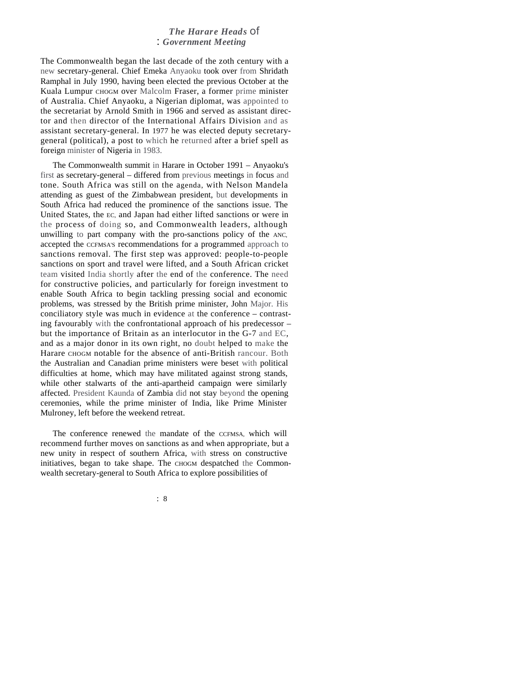### *The Harare Heads* of : *Government Meeting*

The Commonwealth began the last decade of the zoth century with a new secretary-general. Chief Emeka Anyaoku took over from Shridath Ramphal in July 1990, having been elected the previous October at the Kuala Lumpur CHOGM over Malcolm Fraser, a former prime minister of Australia. Chief Anyaoku, a Nigerian diplomat, was appointed to the secretariat by Arnold Smith in 1966 and served as assistant director and then director of the International Affairs Division and as assistant secretary-general. In 1977 he was elected deputy secretarygeneral (political), a post to which he returned after a brief spell as foreign minister of Nigeria in 1983.

The Commonwealth summit in Harare in October 1991 – Anyaoku's first as secretary-general – differed from previous meetings in focus and tone. South Africa was still on the agenda, with Nelson Mandela attending as guest of the Zimbabwean president, but developments in South Africa had reduced the prominence of the sanctions issue. The United States, the EC, and Japan had either lifted sanctions or were in the process of doing so, and Commonwealth leaders, although unwilling to part company with the pro-sanctions policy of the ANC, accepted the CCFMSA'S recommendations for a programmed approach to sanctions removal. The first step was approved: people-to-people sanctions on sport and travel were lifted, and a South African cricket team visited India shortly after the end of the conference. The need for constructive policies, and particularly for foreign investment to enable South Africa to begin tackling pressing social and economic problems, was stressed by the British prime minister, John Major. His conciliatory style was much in evidence at the conference – contrasting favourably with the confrontational approach of his predecessor – but the importance of Britain as an interlocutor in the G-7 and EC, and as a major donor in its own right, no doubt helped to make the Harare CHOGM notable for the absence of anti-British rancour. Both the Australian and Canadian prime ministers were beset with political difficulties at home, which may have militated against strong stands, while other stalwarts of the anti-apartheid campaign were similarly affected. President Kaunda of Zambia did not stay beyond the opening ceremonies, while the prime minister of India, like Prime Minister Mulroney, left before the weekend retreat.

The conference renewed the mandate of the CCFMSA, which will recommend further moves on sanctions as and when appropriate, but a new unity in respect of southern Africa, with stress on constructive initiatives, began to take shape. The CHOGM despatched the Commonwealth secretary-general to South Africa to explore possibilities of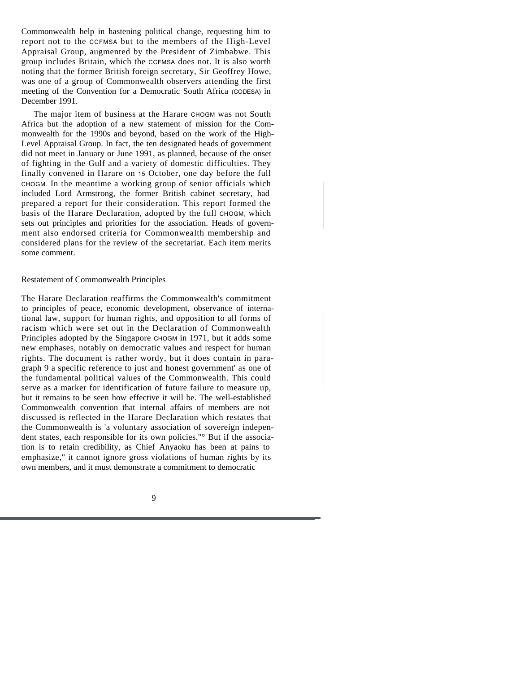Commonwealth help in hastening political change, requesting him to report not to the CCFMSA but to the members of the High-Level Appraisal Group, augmented by the President of Zimbabwe. This group includes Britain, which the CCFMSA does not. It is also worth noting that the former British foreign secretary, Sir Geoffrey Howe, was one of a group of Commonwealth observers attending the first meeting of the Convention for a Democratic South Africa (CODESA) in December 1991.

The major item of business at the Harare CHOGM was not South Africa but the adoption of a new statement of mission for the Commonwealth for the 1990s and beyond, based on the work of the High-Level Appraisal Group. In fact, the ten designated heads of government did not meet in January or June 1991, as planned, because of the onset of fighting in the Gulf and a variety of domestic difficulties. They finally convened in Harare on <sup>15</sup> October, one day before the full CHOGM. In the meantime a working group of senior officials which included Lord Armstrong, the former British cabinet secretary, had prepared a report for their consideration. This report formed the basis of the Harare Declaration, adopted by the full CHOGM, which sets out principles and priorities for the association. Heads of government also endorsed criteria for Commonwealth membership and considered plans for the review of the secretariat. Each item merits some comment.

Restatement of Commonwealth Principles

The Harare Declaration reaffirms the Commonwealth's commitment to principles of peace, economic development, observance of international law, support for human rights, and opposition to all forms of racism which were set out in the Declaration of Commonwealth Principles adopted by the Singapore CHOGM in 1971, but it adds some new emphases, notably on democratic values and respect for human rights. The document is rather wordy, but it does contain in paragraph 9 a specific reference to just and honest government' as one of the fundamental political values of the Commonwealth. This could serve as a marker for identification of future failure to measure up, but it remains to be seen how effective it will be. The well-established Commonwealth convention that internal affairs of members are not discussed is reflected in the Harare Declaration which restates that the Commonwealth is 'a voluntary association of sovereign independent states, each responsible for its own policies."° But if the association is to retain credibility, as Chief Anyaoku has been at pains to emphasize," it cannot ignore gross violations of human rights by its own members, and it must demonstrate a commitment to democratic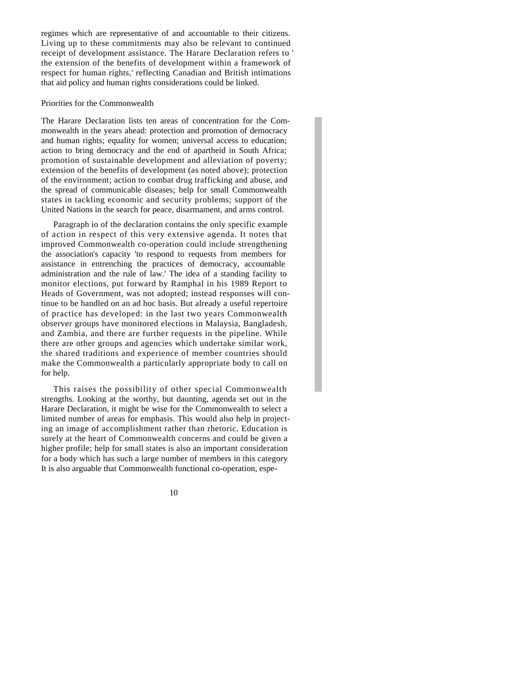regimes which are representative of and accountable to their citizens. Living up to these commitments may also be relevant to continued receipt of development assistance. The Harare Declaration refers to ' the extension of the benefits of development within a framework of respect for human rights,' reflecting Canadian and British intimations that aid policy and human rights considerations could be linked.

#### Priorities for the Commonwealth

The Harare Declaration lists ten areas of concentration for the Commonwealth in the years ahead: protection and promotion of democracy and human rights; equality for women; universal access to education; action to bring democracy and the end of apartheid in South Africa; promotion of sustainable development and alleviation of poverty; extension of the benefits of development (as noted above); protection of the environment; action to combat drug trafficking and abuse, and the spread of communicable diseases; help for small Commonwealth states in tackling economic and security problems; support of the United Nations in the search for peace, disarmament, and arms control.

Paragraph io of the declaration contains the only specific example of action in respect of this very extensive agenda. It notes that improved Commonwealth co-operation could include strengthening the association's capacity 'to respond to requests from members for assistance in entrenching the practices of democracy, accountable administration and the rule of law.' The idea of a standing facility to monitor elections, put forward by Ramphal in his 1989 Report to Heads of Government, was not adopted; instead responses will continue to be handled on an ad hoc basis. But already a useful repertoire of practice has developed: in the last two years Commonwealth observer groups have monitored elections in Malaysia, Bangladesh, and Zambia, and there are further requests in the pipeline. While there are other groups and agencies which undertake similar work, the shared traditions and experience of member countries should make the Commonwealth a particularly appropriate body to call on for help.

This raises the possibility of other special Commonwealth strengths. Looking at the worthy, but daunting, agenda set out in the Harare Declaration, it might be wise for the Commonwealth to select a limited number of areas for emphasis. This would also help in projecting an image of accomplishment rather than rhetoric. Education is surely at the heart of Commonwealth concerns and could be given a higher profile; help for small states is also an important consideration for a body which has such a large number of members in this category It is also arguable that Commonwealth functional co-operation, espe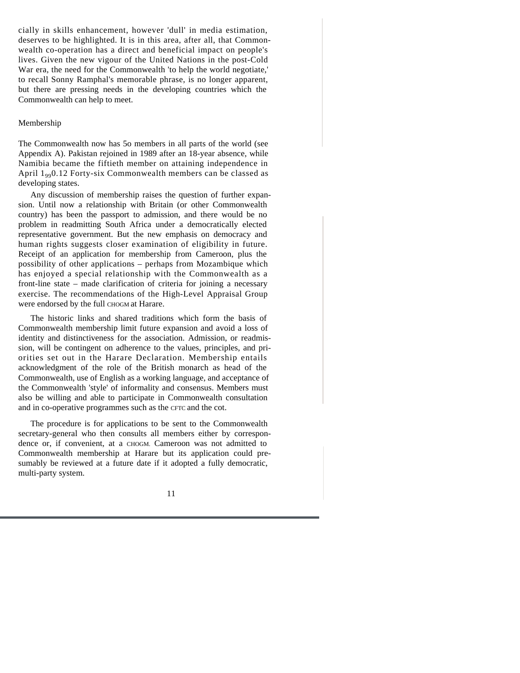cially in skills enhancement, however 'dull' in media estimation, deserves to be highlighted. It is in this area, after all, that Commonwealth co-operation has a direct and beneficial impact on people's lives. Given the new vigour of the United Nations in the post-Cold War era, the need for the Commonwealth 'to help the world negotiate,' to recall Sonny Ramphal's memorable phrase, is no longer apparent, but there are pressing needs in the developing countries which the Commonwealth can help to meet.

#### Membership

The Commonwealth now has 5o members in all parts of the world (see Appendix A). Pakistan rejoined in 1989 after an 18-year absence, while Namibia became the fiftieth member on attaining independence in April  $1_{99}$ 0.12 Forty-six Commonwealth members can be classed as developing states.

Any discussion of membership raises the question of further expansion. Until now a relationship with Britain (or other Commonwealth country) has been the passport to admission, and there would be no problem in readmitting South Africa under a democratically elected representative government. But the new emphasis on democracy and human rights suggests closer examination of eligibility in future. Receipt of an application for membership from Cameroon, plus the possibility of other applications – perhaps from Mozambique which has enjoyed a special relationship with the Commonwealth as a front-line state – made clarification of criteria for joining a necessary exercise. The recommendations of the High-Level Appraisal Group were endorsed by the full CHOGM at Harare.

The historic links and shared traditions which form the basis of Commonwealth membership limit future expansion and avoid a loss of identity and distinctiveness for the association. Admission, or readmission, will be contingent on adherence to the values, principles, and priorities set out in the Harare Declaration. Membership entails acknowledgment of the role of the British monarch as head of the Commonwealth, use of English as a working language, and acceptance of the Commonwealth 'style' of informality and consensus. Members must also be willing and able to participate in Commonwealth consultation and in co-operative programmes such as the CFTC and the cot.

The procedure is for applications to be sent to the Commonwealth secretary-general who then consults all members either by correspondence or, if convenient, at a CHOGM. Cameroon was not admitted to Commonwealth membership at Harare but its application could presumably be reviewed at a future date if it adopted a fully democratic, multi-party system.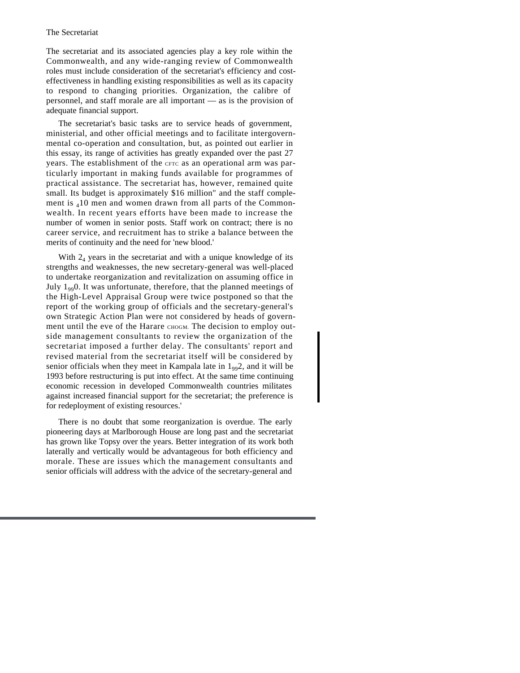The secretariat and its associated agencies play a key role within the Commonwealth, and any wide-ranging review of Commonwealth roles must include consideration of the secretariat's efficiency and costeffectiveness in handling existing responsibilities as well as its capacity to respond to changing priorities. Organization, the calibre of personnel, and staff morale are all important — as is the provision of adequate financial support.

The secretariat's basic tasks are to service heads of government, ministerial, and other official meetings and to facilitate intergovernmental co-operation and consultation, but, as pointed out earlier in this essay, its range of activities has greatly expanded over the past 27 years. The establishment of the CFTC as an operational arm was particularly important in making funds available for programmes of practical assistance. The secretariat has, however, remained quite small. Its budget is approximately \$16 million" and the staff complement is  $_410$  men and women drawn from all parts of the Commonwealth. In recent years efforts have been made to increase the number of women in senior posts. Staff work on contract; there is no career service, and recruitment has to strike a balance between the merits of continuity and the need for 'new blood.'

With  $2<sub>4</sub>$  years in the secretariat and with a unique knowledge of its strengths and weaknesses, the new secretary-general was well-placed to undertake reorganization and revitalization on assuming office in July  $1_{99}$ , It was unfortunate, therefore, that the planned meetings of the High-Level Appraisal Group were twice postponed so that the report of the working group of officials and the secretary-general's own Strategic Action Plan were not considered by heads of government until the eve of the Harare CHOGM. The decision to employ outside management consultants to review the organization of the secretariat imposed a further delay. The consultants' report and revised material from the secretariat itself will be considered by senior officials when they meet in Kampala late in  $1_{99}2$ , and it will be 1993 before restructuring is put into effect. At the same time continuing economic recession in developed Commonwealth countries militates against increased financial support for the secretariat; the preference is for redeployment of existing resources.'

There is no doubt that some reorganization is overdue. The early pioneering days at Marlborough House are long past and the secretariat has grown like Topsy over the years. Better integration of its work both laterally and vertically would be advantageous for both efficiency and morale. These are issues which the management consultants and senior officials will address with the advice of the secretary-general and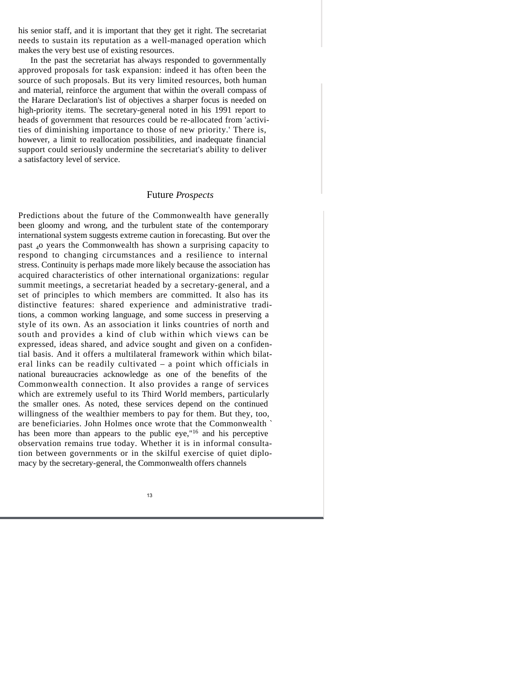his senior staff, and it is important that they get it right. The secretariat needs to sustain its reputation as a well-managed operation which makes the very best use of existing resources.

In the past the secretariat has always responded to governmentally approved proposals for task expansion: indeed it has often been the source of such proposals. But its very limited resources, both human and material, reinforce the argument that within the overall compass of the Harare Declaration's list of objectives a sharper focus is needed on high-priority items. The secretary-general noted in his 1991 report to heads of government that resources could be re-allocated from 'activities of diminishing importance to those of new priority.' There is, however, a limit to reallocation possibilities, and inadequate financial support could seriously undermine the secretariat's ability to deliver a satisfactory level of service.

### Future *Prospects*

Predictions about the future of the Commonwealth have generally been gloomy and wrong, and the turbulent state of the contemporary international system suggests extreme caution in forecasting. But over the past <sup>4</sup>o years the Commonwealth has shown a surprising capacity to respond to changing circumstances and a resilience to internal stress. Continuity is perhaps made more likely because the association has acquired characteristics of other international organizations: regular summit meetings, a secretariat headed by a secretary-general, and a set of principles to which members are committed. It also has its distinctive features: shared experience and administrative traditions, a common working language, and some success in preserving a style of its own. As an association it links countries of north and south and provides a kind of club within which views can be expressed, ideas shared, and advice sought and given on a confidential basis. And it offers a multilateral framework within which bilateral links can be readily cultivated – a point which officials in national bureaucracies acknowledge as one of the benefits of the Commonwealth connection. It also provides a range of services which are extremely useful to its Third World members, particularly the smaller ones. As noted, these services depend on the continued willingness of the wealthier members to pay for them. But they, too, are beneficiaries. John Holmes once wrote that the Commonwealth ` has been more than appears to the public eye,"<sup>16</sup> and his perceptive observation remains true today. Whether it is in informal consultation between governments or in the skilful exercise of quiet diplomacy by the secretary-general, the Commonwealth offers channels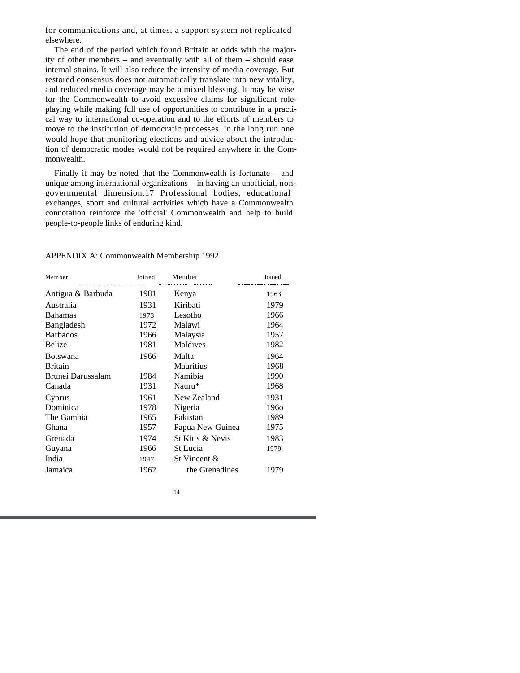for communications and, at times, a support system not replicated elsewhere.

The end of the period which found Britain at odds with the majority of other members – and eventually with all of them – should ease internal strains. It will also reduce the intensity of media coverage. But restored consensus does not automatically translate into new vitality, and reduced media coverage may be a mixed blessing. It may be wise for the Commonwealth to avoid excessive claims for significant roleplaying while making full use of opportunities to contribute in a practical way to international co-operation and to the efforts of members to move to the institution of democratic processes. In the long run one would hope that monitoring elections and advice about the introduction of democratic modes would not be required anywhere in the Commonwealth.

Finally it may be noted that the Commonwealth is fortunate – and unique among international organizations – in having an unofficial, nongovernmental dimension.17 Professional bodies, educational exchanges, sport and cultural activities which have a Commonwealth connotation reinforce the 'official' Commonwealth and help to build people-to-people links of enduring kind.

| Member            | Joined | Member           | Joined |
|-------------------|--------|------------------|--------|
| Antigua & Barbuda | 1981   | Kenya            | 1963   |
| Australia         | 1931   | Kiribati         | 1979   |
| <b>Bahamas</b>    | 1973   | Lesotho          | 1966   |
| Bangladesh        | 1972   | Malawi           | 1964   |
| <b>Barbados</b>   | 1966   | Malaysia         | 1957   |
| Belize            | 1981   | Maldives         | 1982   |
| <b>Botswana</b>   | 1966   | Malta            | 1964   |
| <b>Britain</b>    |        | <b>Mauritius</b> | 1968   |
| Brunei Darussalam | 1984   | Namibia          | 1990   |
| Canada            | 1931   | Nauru*           | 1968   |
| Cyprus            | 1961   | New Zealand      | 1931   |
| Dominica          | 1978   | Nigeria          | 1960   |
| The Gambia        | 1965   | Pakistan         | 1989   |
| Ghana             | 1957   | Papua New Guinea | 1975   |
| Grenada           | 1974   | St Kitts & Nevis | 1983   |
| Guyana            | 1966   | St Lucia         | 1979   |
| India             | 1947   | St Vincent &     |        |
| Jamaica           | 1962   | the Grenadines   | 1979   |

#### APPENDIX A: Commonwealth Membership 1992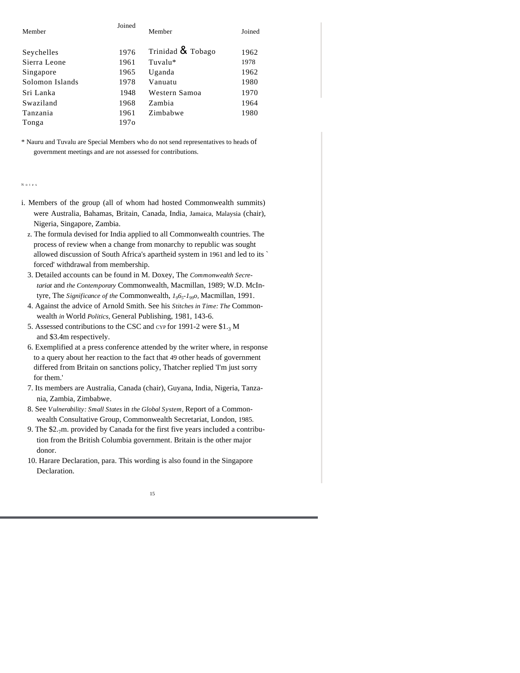| Member          | Joined           | Member            | Joined |
|-----------------|------------------|-------------------|--------|
| Seychelles      | 1976             | Trinidad & Tobago | 1962   |
| Sierra Leone    | 1961             | Tuvalu*           | 1978   |
| Singapore       | 1965             | Uganda            | 1962   |
| Solomon Islands | 1978             | Vanuatu           | 1980   |
| Sri Lanka       | 1948             | Western Samoa     | 1970   |
| Swaziland       | 1968             | Zambia            | 1964   |
| Tanzania        | 1961             | Zimbabwe          | 1980   |
| Tonga           | 197 <sub>0</sub> |                   |        |

\* Nauru and Tuvalu are Special Members who do not send representatives to heads of government meetings and are not assessed for contributions.

Notes

- i. Members of the group (all of whom had hosted Commonwealth summits) were Australia, Bahamas, Britain, Canada, India, Jamaica, Malaysia (chair), Nigeria, Singapore, Zambia.
	- z. The formula devised for India applied to all Commonwealth countries. The process of review when a change from monarchy to republic was sought allowed discussion of South Africa's apartheid system in 1961 and led to its ` forced' withdrawal from membership.
	- 3. Detailed accounts can be found in M. Doxey, The *Commonwealth Secretariat* and *the Contemporary* Commonwealth, Macmillan, 1989; W.D. McIntyre, The *Significance of the* Commonwealth, *196<sup>5</sup> -199o,* Macmillan, 1991.
	- 4. Against the advice of Arnold Smith. See his *Stitches in Time: The* Commonwealth *in* World *Politics,* General Publishing, 1981, 143-6.
	- 5. Assessed contributions to the CSC and  $\text{cyc}$  for 1991-2 were \$1.3 M and \$3.4m respectively.
	- 6. Exemplified at a press conference attended by the writer where, in response to a query about her reaction to the fact that 49 other heads of government differed from Britain on sanctions policy, Thatcher replied 'I'm just sorry for them.'
	- 7. Its members are Australia, Canada (chair), Guyana, India, Nigeria, Tanzania, Zambia, Zimbabwe.
	- 8. See *Vulnerability: Small States* in *the Global System,* Report of a Commonwealth Consultative Group, Commonwealth Secretariat, London, 1985.
	- 9. The \$2.7m. provided by Canada for the first five years included a contribution from the British Columbia government. Britain is the other major donor.
	- 10. Harare Declaration, para. This wording is also found in the Singapore Declaration.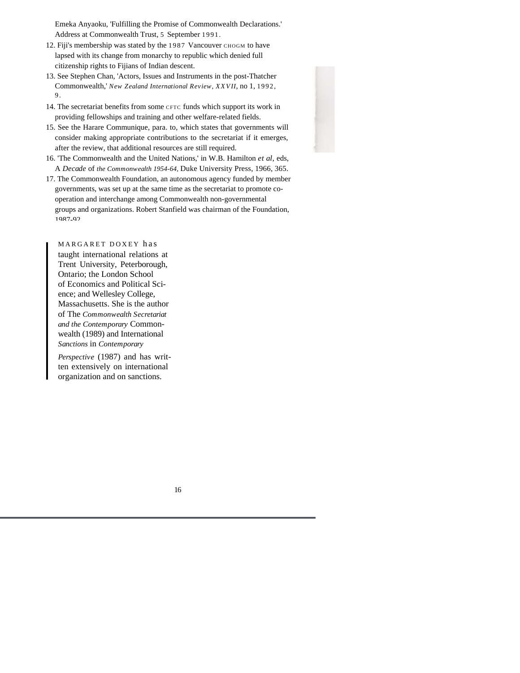Emeka Anyaoku, 'Fulfilling the Promise of Commonwealth Declarations.' Address at Commonwealth Trust, 5 September 1991.

- 12. Fiji's membership was stated by the 1987 Vancouver сности to have lapsed with its change from monarchy to republic which denied full citizenship rights to Fijians of Indian descent.
- 13. See Stephen Chan, 'Actors, Issues and Instruments in the post-Thatcher Commonwealth,' *New Zealand International Review, XXVII*, no 1, 1992, 9 .
- 14. The secretariat benefits from some CFTC funds which support its work in providing fellowships and training and other welfare-related fields.
- 15. See the Harare Communique, para. to, which states that governments will consider making appropriate contributions to the secretariat if it emerges, after the review, that additional resources are still required.
- 16. 'The Commonwealth and the United Nations,' in W.B. Hamilton *et al,* eds, A *Decade* of *the Commonwealth 1954-64,* Duke University Press, 1966, 365.
- 17. The Commonwealth Foundation, an autonomous agency funded by member governments, was set up at the same time as the secretariat to promote cooperation and interchange among Commonwealth non-governmental groups and organizations. Robert Stanfield was chairman of the Foundation, 1987-92.

MARGARET DOXEY has taught international relations at Trent University, Peterborough, Ontario; the London School of Economics and Political Science; and Wellesley College, Massachusetts. She is the author of The *Commonwealth Secretariat and the Contemporary* Commonwealth (1989) and International *Sanctions* in *Contemporary*

*Perspective* (1987) and has written extensively on international organization and on sanctions.